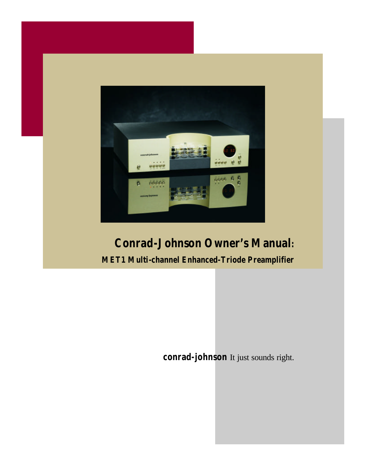

## *Conrad-Johnson Owner's Manual:*

*MET1 Multi-channel Enhanced-Triode Preamplifier*

**conrad-johnson** It just sounds right.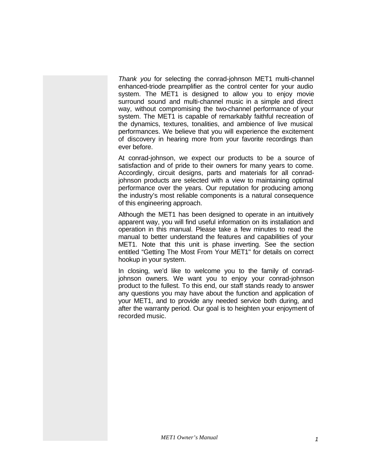*Thank you* for selecting the conrad-johnson MET1 multi-channel enhanced-triode preamplifier as the control center for your audio system. The MET1 is designed to allow you to enjoy movie surround sound and multi-channel music in a simple and direct way, without compromising the two-channel performance of your system. The MET1 is capable of remarkably faithful recreation of the dynamics, textures, tonalities, and ambience of live musical performances. We believe that you will experience the excitement of discovery in hearing more from your favorite recordings than ever before.

At conrad-johnson, we expect our products to be a source of satisfaction and of pride to their owners for many years to come. Accordingly, circuit designs, parts and materials for all conradjohnson products are selected with a view to maintaining optimal performance over the years. Our reputation for producing among the industry's most reliable components is a natural consequence of this engineering approach.

Although the MET1 has been designed to operate in an intuitively apparent way, you will find useful information on its installation and operation in this manual. Please take a few minutes to read the manual to better understand the features and capabilities of your MET1. Note that this unit is phase inverting. See the section entitled "Getting The Most From Your MET1" for details on correct hookup in your system.

In closing, we'd like to welcome you to the family of conradjohnson owners. We want you to enjoy your conrad-johnson product to the fullest. To this end, our staff stands ready to answer any questions you may have about the function and application of your MET1, and to provide any needed service both during, and after the warranty period. Our goal is to heighten your enjoyment of recorded music.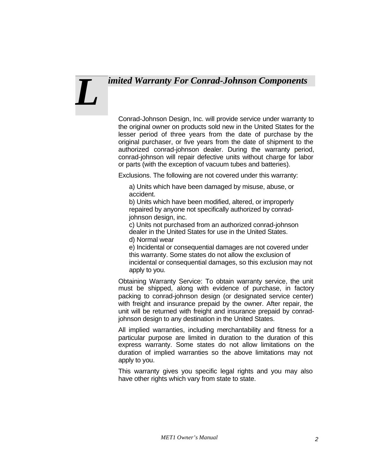## *imited Warranty For Conrad-Johnson Components*

# *L*

Conrad-Johnson Design, Inc. will provide service under warranty to the original owner on products sold new in the United States for the lesser period of three years from the date of purchase by the original purchaser, or five years from the date of shipment to the authorized conrad-johnson dealer. During the warranty period, conrad-johnson will repair defective units without charge for labor or parts (with the exception of vacuum tubes and batteries).

Exclusions. The following are not covered under this warranty:

a) Units which have been damaged by misuse, abuse, or accident.

b) Units which have been modified, altered, or improperly repaired by anyone not specifically authorized by conradjohnson design, inc.

c) Units not purchased from an authorized conrad-johnson dealer in the United States for use in the United States. d) Normal wear

e) Incidental or consequential damages are not covered under this warranty. Some states do not allow the exclusion of incidental or consequential damages, so this exclusion may not apply to you.

Obtaining Warranty Service: To obtain warranty service, the unit must be shipped, along with evidence of purchase, in factory packing to conrad-johnson design (or designated service center) with freight and insurance prepaid by the owner. After repair, the unit will be returned with freight and insurance prepaid by conradjohnson design to any destination in the United States.

All implied warranties, including merchantability and fitness for a particular purpose are limited in duration to the duration of this express warranty. Some states do not allow limitations on the duration of implied warranties so the above limitations may not apply to you.

This warranty gives you specific legal rights and you may also have other rights which vary from state to state.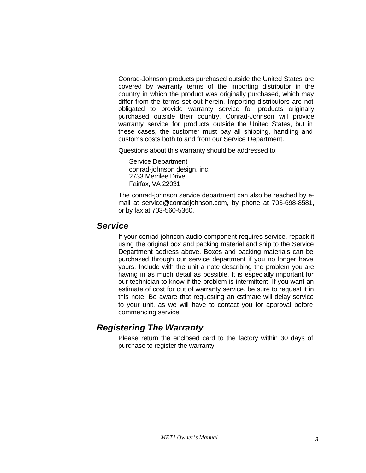Conrad-Johnson products purchased outside the United States are covered by warranty terms of the importing distributor in the country in which the product was originally purchased, which may differ from the terms set out herein. Importing distributors are not obligated to provide warranty service for products originally purchased outside their country. Conrad-Johnson will provide warranty service for products outside the United States, but in these cases, the customer must pay all shipping, handling and customs costs both to and from our Service Department.

Questions about this warranty should be addressed to:

Service Department conrad-johnson design, inc. 2733 Merrilee Drive Fairfax, VA 22031

The conrad-johnson service department can also be reached by email at service@conradjohnson.com, by phone at 703-698-8581, or by fax at 703-560-5360.

#### *Service*

If your conrad-johnson audio component requires service, repack it using the original box and packing material and ship to the Service Department address above. Boxes and packing materials can be purchased through our service department if you no longer have yours. Include with the unit a note describing the problem you are having in as much detail as possible. It is especially important for our technician to know if the problem is intermittent. If you want an estimate of cost for out of warranty service, be sure to request it in this note. Be aware that requesting an estimate will delay service to your unit, as we will have to contact you for approval before commencing service.

### *Registering The Warranty*

Please return the enclosed card to the factory within 30 days of purchase to register the warranty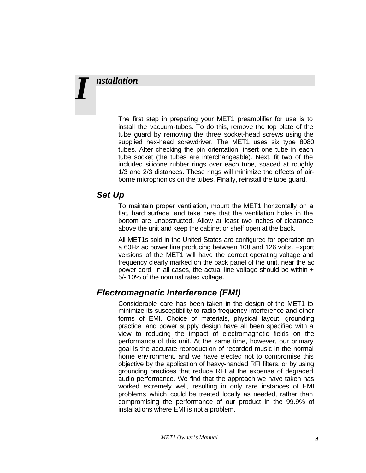# *nstallation I*

The first step in preparing your MET1 preamplifier for use is to install the vacuum-tubes. To do this, remove the top plate of the tube guard by removing the three socket-head screws using the supplied hex-head screwdriver. The MET1 uses six type 8080 tubes. After checking the pin orientation, insert one tube in each tube socket (the tubes are interchangeable). Next, fit two of the included silicone rubber rings over each tube, spaced at roughly 1/3 and 2/3 distances. These rings will minimize the effects of airborne microphonics on the tubes. Finally, reinstall the tube guard.

#### *Set Up*

To maintain proper ventilation, mount the MET1 horizontally on a flat, hard surface, and take care that the ventilation holes in the bottom are unobstructed. Allow at least two inches of clearance above the unit and keep the cabinet or shelf open at the back.

All MET1s sold in the United States are configured for operation on a 60Hz ac power line producing between 108 and 126 volts. Export versions of the MET1 will have the correct operating voltage and frequency clearly marked on the back panel of the unit, near the ac power cord. In all cases, the actual line voltage should be within  $+$ 5/- 10% of the nominal rated voltage.

### *Electromagnetic Interference (EMI)*

Considerable care has been taken in the design of the MET1 to minimize its susceptibility to radio frequency interference and other forms of EMI. Choice of materials, physical layout, grounding practice, and power supply design have all been specified with a view to reducing the impact of electromagnetic fields on the performance of this unit. At the same time, however, our primary goal is the accurate reproduction of recorded music in the normal home environment, and we have elected not to compromise this objective by the application of heavy-handed RFI filters, or by using grounding practices that reduce RFI at the expense of degraded audio performance. We find that the approach we have taken has worked extremely well, resulting in only rare instances of EMI problems which could be treated locally as needed, rather than compromising the performance of our product in the 99.9% of installations where EMI is not a problem.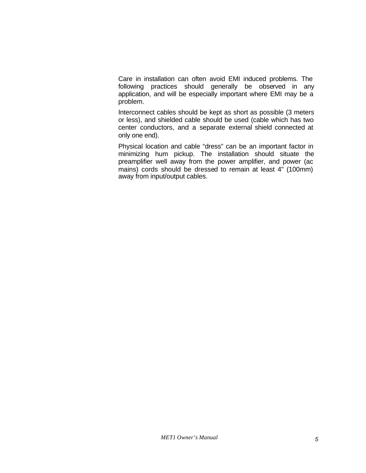Care in installation can often avoid EMI induced problems. The following practices should generally be observed in any application, and will be especially important where EMI may be a problem.

Interconnect cables should be kept as short as possible (3 meters or less), and shielded cable should be used (cable which has two center conductors, and a separate external shield connected at only one end).

Physical location and cable "dress" can be an important factor in minimizing hum pickup. The installation should situate the preamplifier well away from the power amplifier, and power (ac mains) cords should be dressed to remain at least 4" (100mm) away from input/output cables.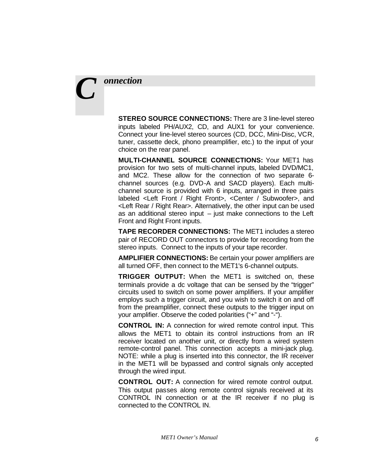## *onnection C*

**STEREO SOURCE CONNECTIONS:** There are 3 line-level stereo inputs labeled PH/AUX2, CD, and AUX1 for your convenience. Connect your line-level stereo sources (CD, DCC, Mini-Disc, VCR, tuner, cassette deck, phono preamplifier, etc.) to the input of your choice on the rear panel.

**MULTI-CHANNEL SOURCE CONNECTIONS:** Your MET1 has provision for two sets of multi-channel inputs, labeled DVD/MC1, and MC2. These allow for the connection of two separate 6 channel sources (e.g. DVD-A and SACD players). Each multichannel source is provided with 6 inputs, arranged in three pairs labeled <Left Front / Right Front>, <Center / Subwoofer>, and <Left Rear / Right Rear>. Alternatively, the other input can be used as an additional stereo input – just make connections to the Left Front and Right Front inputs.

**TAPE RECORDER CONNECTIONS:** The MET1 includes a stereo pair of RECORD OUT connectors to provide for recording from the stereo inputs. Connect to the inputs of your tape recorder.

**AMPLIFIER CONNECTIONS:** Be certain your power amplifiers are all turned OFF, then connect to the MET1's 6-channel outputs.

**TRIGGER OUTPUT:** When the MET1 is switched on, these terminals provide a dc voltage that can be sensed by the "trigger" circuits used to switch on some power amplifiers. If your amplifier employs such a trigger circuit, and you wish to switch it on and off from the preamplifier, connect these outputs to the trigger input on your amplifier. Observe the coded polarities ("+" and "-").

**CONTROL IN:** A connection for wired remote control input. This allows the MET1 to obtain its control instructions from an IR receiver located on another unit, or directly from a wired system remote-control panel. This connection accepts a mini-jack plug. NOTE: while a plug is inserted into this connector, the IR receiver in the MET1 will be bypassed and control signals only accepted through the wired input.

**CONTROL OUT:** A connection for wired remote control output. This output passes along remote control signals received at its CONTROL IN connection or at the IR receiver if no plug is connected to the CONTROL IN.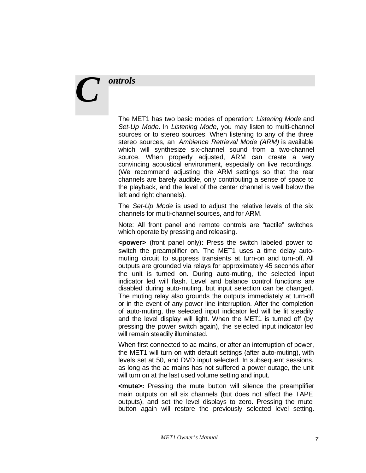## *ontrols*

*C*

The MET1 has two basic modes of operation: *Listening Mode* and *Set-Up Mode*. In *Listening Mode*, you may listen to multi-channel sources or to stereo sources. When listening to any of the three stereo sources, an *Ambience Retrieval Mode (ARM)* is available which will synthesize six-channel sound from a two-channel source. When properly adjusted, ARM can create a very convincing acoustical environment, especially on live recordings. (We recommend adjusting the ARM settings so that the rear channels are barely audible, only contributing a sense of space to the playback, and the level of the center channel is well below the left and right channels).

The *Set-Up Mode* is used to adjust the relative levels of the six channels for multi-channel sources, and for ARM.

Note: All front panel and remote controls are "tactile" switches which operate by pressing and releasing.

**<power>** (front panel only)**:** Press the switch labeled power to switch the preamplifier on. The MET1 uses a time delay automuting circuit to suppress transients at turn-on and turn-off. All outputs are grounded via relays for approximately 45 seconds after the unit is turned on. During auto-muting, the selected input indicator led will flash. Level and balance control functions are disabled during auto-muting, but input selection can be changed. The muting relay also grounds the outputs immediately at turn-off or in the event of any power line interruption. After the completion of auto-muting, the selected input indicator led will be lit steadily and the level display will light. When the MET1 is turned off (by pressing the power switch again), the selected input indicator led will remain steadily illuminated.

When first connected to ac mains, or after an interruption of power, the MET1 will turn on with default settings (after auto-muting), with levels set at 50, and DVD input selected. In subsequent sessions, as long as the ac mains has not suffered a power outage, the unit will turn on at the last used volume setting and input.

**<mute>:** Pressing the mute button will silence the preamplifier main outputs on all six channels (but does not affect the TAPE outputs), and set the level displays to zero. Pressing the mute button again will restore the previously selected level setting.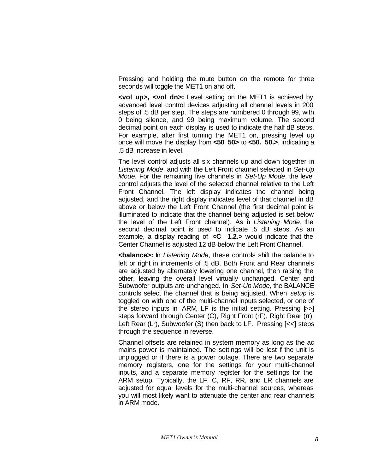Pressing and holding the mute button on the remote for three seconds will toggle the MET1 on and off.

**<vol up>, <vol dn>:** Level setting on the MET1 is achieved by advanced level control devices adjusting all channel levels in 200 steps of .5 dB per step. The steps are numbered 0 through 99, with 0 being silence, and 99 being maximum volume. The second decimal point on each display is used to indicate the half dB steps. For example, after first turning the MET1 on, pressing level up once will move the display from **<50 50>** to **<50. 50.>**, indicating a .5 dB increase in level.

The level control adjusts all six channels up and down together in *Listening Mode*, and with the Left Front channel selected in *Set-Up Mode*. For the remaining five channels in *Set-Up Mode*, the level control adjusts the level of the selected channel relative to the Left Front Channel. The left display indicates the channel being adjusted, and the right display indicates level of that channel in dB above or below the Left Front Channel (the first decimal point is illuminated to indicate that the channel being adjusted is set below the level of the Left Front channel). As in *Listening Mode*, the second decimal point is used to indicate .5 dB steps. As an example, a display reading of **<C 1.2.>** would indicate that the Center Channel is adjusted 12 dB below the Left Front Channel.

**<balance>:** In *Listening Mode*, these controls shift the balance to left or right in increments of .5 dB. Both Front and Rear channels are adjusted by alternately lowering one channel, then raising the other, leaving the overall level virtually unchanged. Center and Subwoofer outputs are unchanged. In *Set-Up Mode,* the BALANCE controls select the channel that is being adjusted. When *setup* is toggled on with one of the multi-channel inputs selected, or one of the stereo inputs in ARM, LF is the initial setting. Pressing  $\triangleright$ steps forward through Center (C), Right Front (rF), Right Rear (rr), Left Rear (Lr), Subwoofer (S) then back to LF. Pressing [<<] steps through the sequence in reverse.

Channel offsets are retained in system memory as long as the ac mains power is maintained. The settings will be lost if the unit is unplugged or if there is a power outage. There are two separate memory registers, one for the settings for your multi-channel inputs, and a separate memory register for the settings for the ARM setup. Typically, the LF, C, RF, RR, and LR channels are adjusted for equal levels for the multi-channel sources, whereas you will most likely want to attenuate the center and rear channels in ARM mode.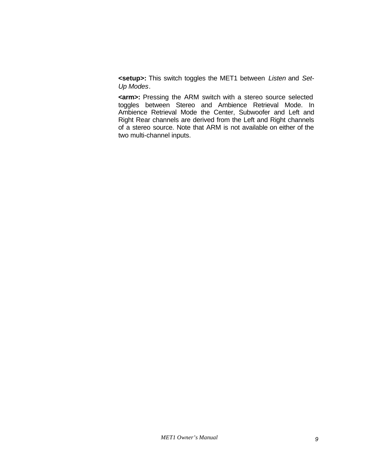**<setup>:** This switch toggles the MET1 between *Listen* and *Set-Up Modes*.

**<arm>:** Pressing the ARM switch with a stereo source selected toggles between Stereo and Ambience Retrieval Mode. In Ambience Retrieval Mode the Center, Subwoofer and Left and Right Rear channels are derived from the Left and Right channels of a stereo source. Note that ARM is not available on either of the two multi-channel inputs.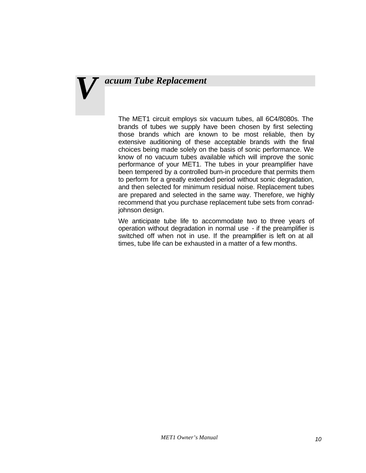# *acuum Tube Replacement V*

The MET1 circuit employs six vacuum tubes, all 6C4/8080s. The brands of tubes we supply have been chosen by first selecting those brands which are known to be most reliable, then by extensive auditioning of these acceptable brands with the final choices being made solely on the basis of sonic performance. We know of no vacuum tubes available which will improve the sonic performance of your MET1. The tubes in your preamplifier have been tempered by a controlled burn-in procedure that permits them to perform for a greatly extended period without sonic degradation, and then selected for minimum residual noise. Replacement tubes are prepared and selected in the same way. Therefore, we highly recommend that you purchase replacement tube sets from conradjohnson design.

We anticipate tube life to accommodate two to three years of operation without degradation in normal use - if the preamplifier is switched off when not in use. If the preamplifier is left on at all times, tube life can be exhausted in a matter of a few months.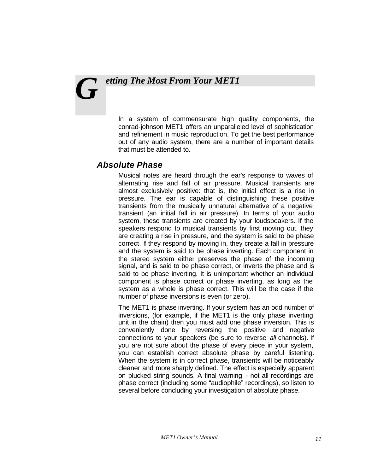## *etting The Most From Your MET1 G*

In a system of commensurate high quality components, the conrad-johnson MET1 offers an unparalleled level of sophistication and refinement in music reproduction. To get the best performance out of any audio system, there are a number of important details that must be attended to.

#### *Absolute Phase*

Musical notes are heard through the ear's response to waves of alternating rise and fall of air pressure. Musical transients are almost exclusively positive: that is, the initial effect is a rise in pressure. The ear is capable of distinguishing these positive transients from the musically unnatural alternative of a negative transient (an initial fall in air pressure). In terms of your audio system, these transients are created by your loudspeakers. If the speakers respond to musical transients by first moving out, they are creating a rise in pressure, and the system is said to be phase correct. If they respond by moving in, they create a fall in pressure and the system is said to be phase inverting. Each component in the stereo system either preserves the phase of the incoming signal, and is said to be phase correct, or inverts the phase and is said to be phase inverting. It is unimportant whether an individual component is phase correct or phase inverting, as long as the system as a whole is phase correct. This will be the case if the number of phase inversions is even (or zero).

The MET1 is phase inverting. If your system has an odd number of inversions, (for example, if the MET1 is the only phase inverting unit in the chain) then you must add one phase inversion. This is conveniently done by reversing the positive and negative connections to your speakers (be sure to reverse *all* channels). If you are not sure about the phase of every piece in your system, you can establish correct absolute phase by careful listening. When the system is in correct phase, transients will be noticeably cleaner and more sharply defined. The effect is especially apparent on plucked string sounds. A final warning - not all recordings are phase correct (including some "audiophile" recordings), so listen to several before concluding your investigation of absolute phase.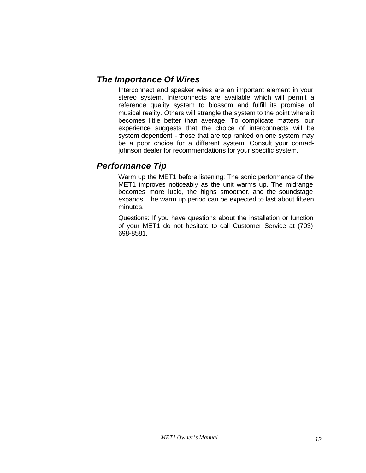#### *The Importance Of Wires*

Interconnect and speaker wires are an important element in your stereo system. Interconnects are available which will permit a reference quality system to blossom and fulfill its promise of musical reality. Others will strangle the system to the point where it becomes little better than average. To complicate matters, our experience suggests that the choice of interconnects will be system dependent - those that are top ranked on one system may be a poor choice for a different system. Consult your conradjohnson dealer for recommendations for your specific system.

#### *Performance Tip*

Warm up the MET1 before listening: The sonic performance of the MET1 improves noticeably as the unit warms up. The midrange becomes more lucid, the highs smoother, and the soundstage expands. The warm up period can be expected to last about fifteen minutes.

Questions: If you have questions about the installation or function of your MET1 do not hesitate to call Customer Service at (703) 698-8581.